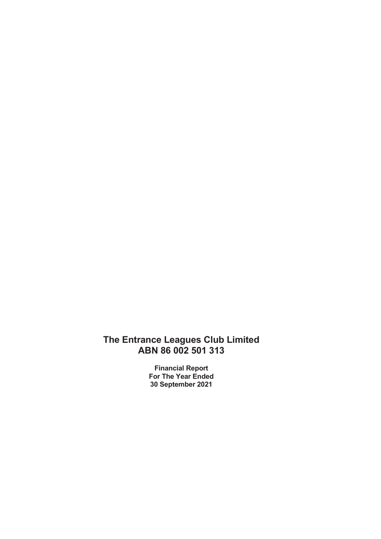Financial Report For The Year Ended 30 September 2021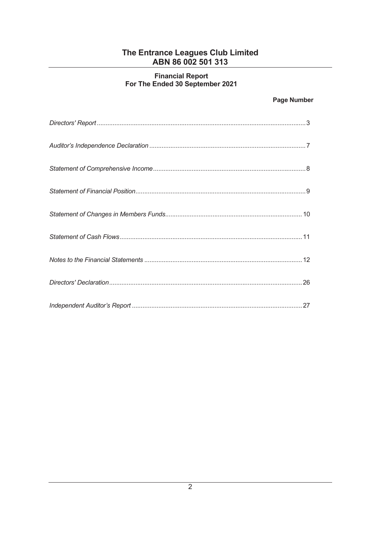# Financial Report<br>For The Ended 30 September 2021

# **Page Number**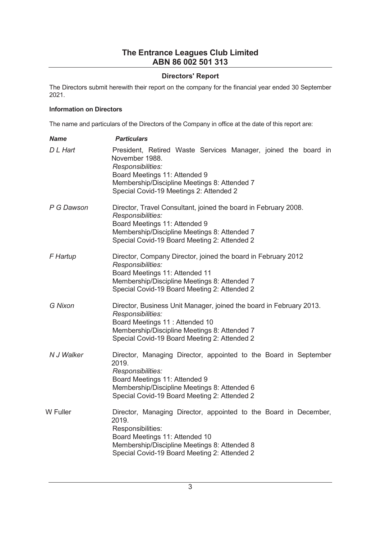## Directors' Report

The Directors submit herewith their report on the company for the financial year ended 30 September 2021.

## Information on Directors

The name and particulars of the Directors of the Company in office at the date of this report are:

| <b>Name</b>    | <b>Particulars</b>                                                                                                                                                                                                                |
|----------------|-----------------------------------------------------------------------------------------------------------------------------------------------------------------------------------------------------------------------------------|
| D L Hart       | President, Retired Waste Services Manager, joined the board in<br>November 1988.<br>Responsibilities:<br>Board Meetings 11: Attended 9<br>Membership/Discipline Meetings 8: Attended 7<br>Special Covid-19 Meetings 2: Attended 2 |
| P G Dawson     | Director, Travel Consultant, joined the board in February 2008.<br>Responsibilities:<br>Board Meetings 11: Attended 9<br>Membership/Discipline Meetings 8: Attended 7<br>Special Covid-19 Board Meeting 2: Attended 2             |
| F Hartup       | Director, Company Director, joined the board in February 2012<br>Responsibilities:<br>Board Meetings 11: Attended 11<br>Membership/Discipline Meetings 8: Attended 7<br>Special Covid-19 Board Meeting 2: Attended 2              |
| <b>G</b> Nixon | Director, Business Unit Manager, joined the board in February 2013.<br>Responsibilities:<br>Board Meetings 11 : Attended 10<br>Membership/Discipline Meetings 8: Attended 7<br>Special Covid-19 Board Meeting 2: Attended 2       |
| N J Walker     | Director, Managing Director, appointed to the Board in September<br>2019.<br>Responsibilities:<br>Board Meetings 11: Attended 9<br>Membership/Discipline Meetings 8: Attended 6<br>Special Covid-19 Board Meeting 2: Attended 2   |
| W Fuller       | Director, Managing Director, appointed to the Board in December,<br>2019.<br>Responsibilities:<br>Board Meetings 11: Attended 10<br>Membership/Discipline Meetings 8: Attended 8<br>Special Covid-19 Board Meeting 2: Attended 2  |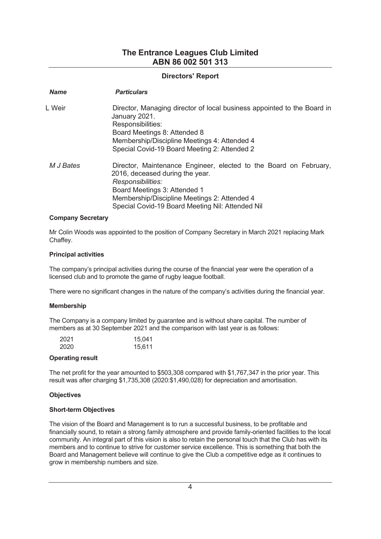## Directors' Report

| <b>Name</b> | <b>Particulars</b>                                                                                                                                                                                                                                            |
|-------------|---------------------------------------------------------------------------------------------------------------------------------------------------------------------------------------------------------------------------------------------------------------|
| L Weir      | Director, Managing director of local business appointed to the Board in<br>January 2021.<br>Responsibilities:<br>Board Meetings 8: Attended 8<br>Membership/Discipline Meetings 4: Attended 4<br>Special Covid-19 Board Meeting 2: Attended 2                 |
| M J Bates   | Director, Maintenance Engineer, elected to the Board on February,<br>2016, deceased during the year.<br>Responsibilities:<br>Board Meetings 3: Attended 1<br>Membership/Discipline Meetings 2: Attended 4<br>Special Covid-19 Board Meeting Nil: Attended Nil |

#### Company Secretary

Mr Colin Woods was appointed to the position of Company Secretary in March 2021 replacing Mark Chaffey.

#### Principal activities

The company's principal activities during the course of the financial year were the operation of a licensed club and to promote the game of rugby league football.

There were no significant changes in the nature of the company's activities during the financial year.

#### Membership

The Company is a company limited by guarantee and is without share capital. The number of members as at 30 September 2021 and the comparison with last year is as follows:

| 2021 | 15,041 |
|------|--------|
| 2020 | 15,611 |

#### Operating result

The net profit for the year amounted to \$503,308 compared with \$1,767,347 in the prior year. This result was after charging \$1,735,308 (2020:\$1,490,028) for depreciation and amortisation.

#### **Objectives**

#### Short-term Objectives

The vision of the Board and Management is to run a successful business, to be profitable and financially sound, to retain a strong family atmosphere and provide family-oriented facilities to the local community. An integral part of this vision is also to retain the personal touch that the Club has with its members and to continue to strive for customer service excellence. This is something that both the Board and Management believe will continue to give the Club a competitive edge as it continues to grow in membership numbers and size.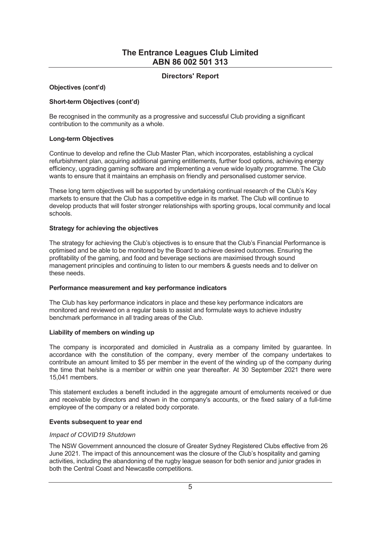## Directors' Report

#### Objectives (cont'd)

#### Short-term Objectives (cont'd)

Be recognised in the community as a progressive and successful Club providing a significant contribution to the community as a whole.

#### Long-term Objectives

Continue to develop and refine the Club Master Plan, which incorporates, establishing a cyclical refurbishment plan, acquiring additional gaming entitlements, further food options, achieving energy efficiency, upgrading gaming software and implementing a venue wide loyalty programme. The Club wants to ensure that it maintains an emphasis on friendly and personalised customer service.

These long term objectives will be supported by undertaking continual research of the Clubís Key markets to ensure that the Club has a competitive edge in its market. The Club will continue to develop products that will foster stronger relationships with sporting groups, local community and local schools.

#### Strategy for achieving the objectives

The strategy for achieving the Club's objectives is to ensure that the Club's Financial Performance is optimised and be able to be monitored by the Board to achieve desired outcomes. Ensuring the profitability of the gaming, and food and beverage sections are maximised through sound management principles and continuing to listen to our members & guests needs and to deliver on these needs.

#### Performance measurement and key performance indicators

The Club has key performance indicators in place and these key performance indicators are monitored and reviewed on a regular basis to assist and formulate ways to achieve industry benchmark performance in all trading areas of the Club.

#### Liability of members on winding up

The company is incorporated and domiciled in Australia as a company limited by guarantee. In accordance with the constitution of the company, every member of the company undertakes to contribute an amount limited to \$5 per member in the event of the winding up of the company during the time that he/she is a member or within one year thereafter. At 30 September 2021 there were 15,041 members.

This statement excludes a benefit included in the aggregate amount of emoluments received or due and receivable by directors and shown in the company's accounts, or the fixed salary of a full-time employee of the company or a related body corporate.

## Events subsequent to year end

#### Impact of COVID19 Shutdown

The NSW Government announced the closure of Greater Sydney Registered Clubs effective from 26 June 2021. The impact of this announcement was the closure of the Club's hospitality and gaming activities, including the abandoning of the rugby league season for both senior and junior grades in both the Central Coast and Newcastle competitions.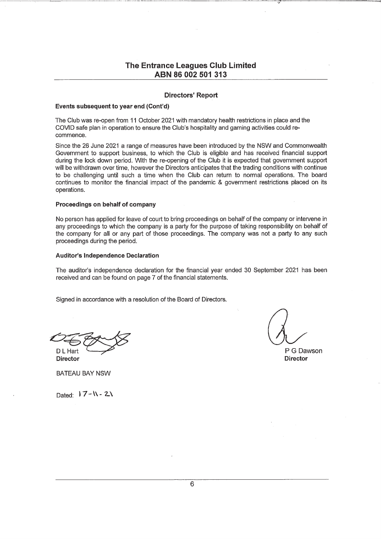#### **Directors' Report**

#### Events subsequent to year end (Cont'd)

The Club was re-open from 11 October 2021 with mandatory health restrictions in place and the COVID safe plan in operation to ensure the Club's hospitality and gaming activities could recommence.

Since the 26 June 2021 a range of measures have been introduced by the NSW and Commonwealth Government to support business, to which the Club is eligible and has received financial support during the lock down period. With the re-opening of the Club it is expected that government support will be withdrawn over time, however the Directors anticipates that the trading conditions with continue to be challenging until such a time when the Club can return to normal operations. The board continues to monitor the financial impact of the pandemic & government restrictions placed on its operations.

#### Proceedings on behalf of company

No person has applied for leave of court to bring proceedings on behalf of the company or intervene in any proceedings to which the company is a party for the purpose of taking responsibility on behalf of the company for all or any part of those proceedings. The company was not a party to any such proceedings during the period.

#### **Auditor's Independence Declaration**

The auditor's independence declaration for the financial year ended 30 September 2021 has been received and can be found on page 7 of the financial statements.

Signed in accordance with a resolution of the Board of Directors.

D I Harl **Director** 

P G Dawson **Director** 

**BATEAU BAY NSW** 

Dated:  $17 - N - 2N$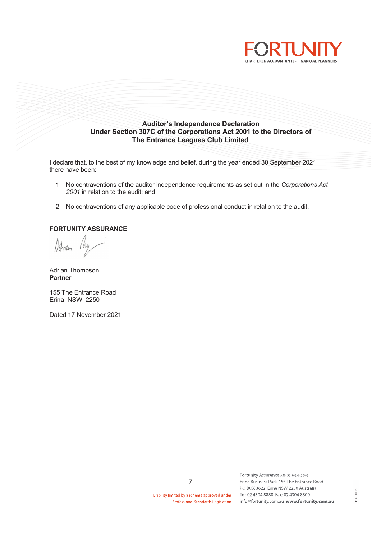



I declare that, to the best of my knowledge and belief, during the year ended 30 September 2021 there have been:

- 1. No contraventions of the auditor independence requirements as set out in the Corporations Act 2001 in relation to the audit; and
- 2. No contraventions of any applicable code of professional conduct in relation to the audit.

## FORTUNITY ASSURANCE

Nhmm

Adrian Thompson Partner

155 The Entrance Road Erina NSW 2250

Dated 17 November 2021

Liability limited by a scheme approved under **Professional Standards Legislation** 

Fortunity Assurance ABN 95 862 442 962 Erina Business Park 155 The Entrance Road PO BOX 3622 Erina NSW 2250 Australia Tel: 02 4304 8888 Fax: 02 4304 8800 info@fortunity.com.au www.fortunity.com.au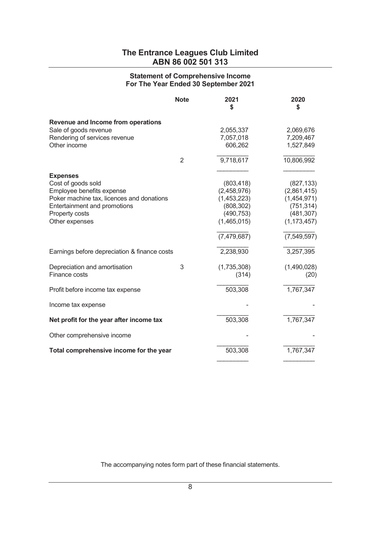## Statement of Comprehensive Income For The Year Ended 30 September 2021

|                                              | <b>Note</b> | 2021<br>\$    | 2020<br>\$    |
|----------------------------------------------|-------------|---------------|---------------|
| Revenue and Income from operations           |             |               |               |
| Sale of goods revenue                        |             | 2,055,337     | 2,069,676     |
| Rendering of services revenue                |             | 7,057,018     | 7,209,467     |
| Other income                                 |             | 606,262       | 1,527,849     |
|                                              | 2           | 9,718,617     | 10,806,992    |
| <b>Expenses</b>                              |             |               |               |
| Cost of goods sold                           |             | (803, 418)    | (827, 133)    |
| Employee benefits expense                    |             | (2,458,976)   | (2,861,415)   |
| Poker machine tax, licences and donations    |             | (1,453,223)   | (1,454,971)   |
| Entertainment and promotions                 |             | (808, 302)    | (751, 314)    |
| Property costs                               |             | (490, 753)    | (481, 307)    |
| Other expenses                               |             | (1,465,015)   | (1, 173, 457) |
|                                              |             | (7, 479, 687) | (7,549,597)   |
| Earnings before depreciation & finance costs |             | 2,238,930     | 3,257,395     |
| Depreciation and amortisation                | 3           | (1,735,308)   | (1,490,028)   |
| Finance costs                                |             | (314)         | (20)          |
| Profit before income tax expense             |             | 503,308       | 1,767,347     |
| Income tax expense                           |             |               |               |
| Net profit for the year after income tax     |             | 503,308       | 1,767,347     |
| Other comprehensive income                   |             |               |               |
| Total comprehensive income for the year      |             | 503,308       | 1,767,347     |
|                                              |             |               |               |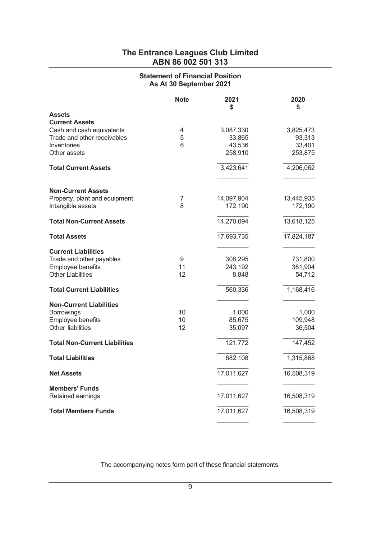# Statement of Financial Position As At 30 September 2021

|                                        | <b>Note</b> | 2021<br>\$ | 2020<br>\$ |
|----------------------------------------|-------------|------------|------------|
| <b>Assets</b><br><b>Current Assets</b> |             |            |            |
| Cash and cash equivalents              | 4           | 3,087,330  | 3,825,473  |
| Trade and other receivables            | 5           | 33,865     | 93,313     |
| Inventories                            | 6           | 43,536     | 33,401     |
| Other assets                           |             | 258,910    | 253,875    |
| <b>Total Current Assets</b>            |             | 3,423,641  | 4,206,062  |
|                                        |             |            |            |
| <b>Non-Current Assets</b>              |             |            |            |
| Property, plant and equipment          | 7           | 14,097,904 | 13,445,935 |
| Intangible assets                      | 8           | 172,190    | 172,190    |
| <b>Total Non-Current Assets</b>        |             | 14,270,094 | 13,618,125 |
| <b>Total Assets</b>                    |             | 17,693,735 | 17,824,187 |
| <b>Current Liabilities</b>             |             |            |            |
| Trade and other payables               | 9           | 308,295    | 731,800    |
| Employee benefits                      | 11          | 243,192    | 381,904    |
| <b>Other Liabilities</b>               | 12          | 8,848      | 54,712     |
| <b>Total Current Liabilities</b>       |             | 560,336    | 1,168,416  |
| <b>Non-Current Liabilities</b>         |             |            |            |
| <b>Borrowings</b>                      | 10          | 1,000      | 1,000      |
| Employee benefits                      | 10          | 85,675     | 109,948    |
| Other liabilities                      | 12          | 35,097     | 36,504     |
| <b>Total Non-Current Liabilities</b>   |             | 121,772    | 147,452    |
| <b>Total Liabilities</b>               |             | 682,108    | 1,315,868  |
| <b>Net Assets</b>                      |             | 17,011,627 | 16,508,319 |
| <b>Members' Funds</b>                  |             |            |            |
| Retained earnings                      |             | 17,011,627 | 16,508,319 |
| <b>Total Members Funds</b>             |             | 17,011,627 | 16,508,319 |
|                                        |             |            |            |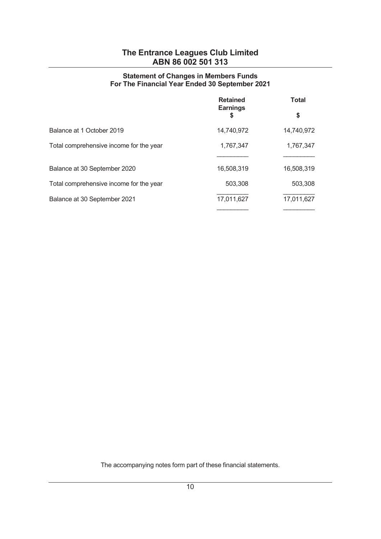## Statement of Changes in Members Funds For The Financial Year Ended 30 September 2021

|                                         | <b>Retained</b><br><b>Earnings</b><br>\$ | <b>Total</b> |  |
|-----------------------------------------|------------------------------------------|--------------|--|
|                                         |                                          | \$           |  |
| Balance at 1 October 2019               | 14,740,972                               | 14,740,972   |  |
| Total comprehensive income for the year | 1,767,347                                | 1,767,347    |  |
|                                         |                                          |              |  |
| Balance at 30 September 2020            | 16,508,319                               | 16,508,319   |  |
| Total comprehensive income for the year | 503,308                                  | 503,308      |  |
| Balance at 30 September 2021            | 17,011,627                               | 17,011,627   |  |
|                                         |                                          |              |  |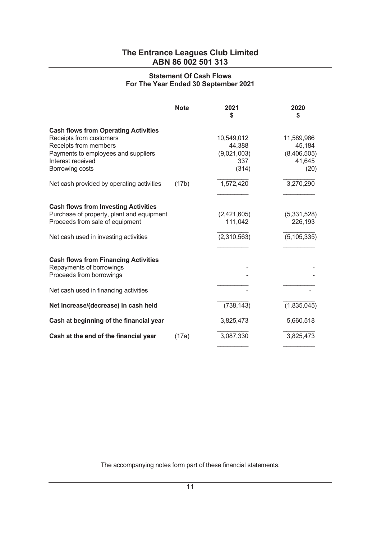## Statement Of Cash Flows For The Year Ended 30 September 2021

|                                                                                                                                                                                | <b>Note</b> | 2021<br>\$                                          | 2020<br>\$                                            |
|--------------------------------------------------------------------------------------------------------------------------------------------------------------------------------|-------------|-----------------------------------------------------|-------------------------------------------------------|
| <b>Cash flows from Operating Activities</b><br>Receipts from customers<br>Receipts from members<br>Payments to employees and suppliers<br>Interest received<br>Borrowing costs |             | 10,549,012<br>44,388<br>(9,021,003)<br>337<br>(314) | 11,589,986<br>45,184<br>(8,406,505)<br>41,645<br>(20) |
| Net cash provided by operating activities                                                                                                                                      | (17b)       | 1,572,420                                           | 3,270,290                                             |
| <b>Cash flows from Investing Activities</b><br>Purchase of property, plant and equipment<br>Proceeds from sale of equipment<br>Net cash used in investing activities           |             | (2,421,605)<br>111,042<br>(2,310,563)               | (5,331,528)<br>226,193<br>(5, 105, 335)               |
| <b>Cash flows from Financing Activities</b><br>Repayments of borrowings<br>Proceeds from borrowings                                                                            |             |                                                     |                                                       |
| Net cash used in financing activities                                                                                                                                          |             |                                                     |                                                       |
| Net increase/(decrease) in cash held                                                                                                                                           |             | (738, 143)                                          | (1,835,045)                                           |
| Cash at beginning of the financial year                                                                                                                                        |             | 3,825,473                                           | 5,660,518                                             |
| Cash at the end of the financial year                                                                                                                                          | (17a)       | 3,087,330                                           | 3,825,473                                             |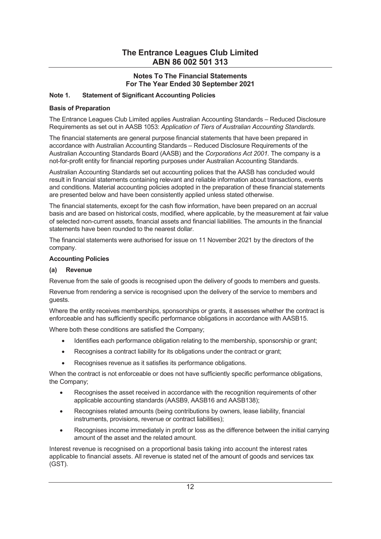## Notes To The Financial Statements For The Year Ended 30 September 2021

## Note 1. Statement of Significant Accounting Policies

## Basis of Preparation

The Entrance Leagues Club Limited applies Australian Accounting Standards – Reduced Disclosure Requirements as set out in AASB 1053: Application of Tiers of Australian Accounting Standards.

The financial statements are general purpose financial statements that have been prepared in accordance with Australian Accounting Standards – Reduced Disclosure Requirements of the Australian Accounting Standards Board (AASB) and the Corporations Act 2001. The company is a not-for-profit entity for financial reporting purposes under Australian Accounting Standards.

Australian Accounting Standards set out accounting polices that the AASB has concluded would result in financial statements containing relevant and reliable information about transactions, events and conditions. Material accounting policies adopted in the preparation of these financial statements are presented below and have been consistently applied unless stated otherwise.

The financial statements, except for the cash flow information, have been prepared on an accrual basis and are based on historical costs, modified, where applicable, by the measurement at fair value of selected non-current assets, financial assets and financial liabilities. The amounts in the financial statements have been rounded to the nearest dollar.

The financial statements were authorised for issue on 11 November 2021 by the directors of the company.

#### Accounting Policies

### (a) Revenue

Revenue from the sale of goods is recognised upon the delivery of goods to members and guests.

Revenue from rendering a service is recognised upon the delivery of the service to members and guests.

Where the entity receives memberships, sponsorships or grants, it assesses whether the contract is enforceable and has sufficiently specific performance obligations in accordance with AASB15.

Where both these conditions are satisfied the Company;

- · Identifies each performance obligation relating to the membership, sponsorship or grant;
- · Recognises a contract liability for its obligations under the contract or grant;
- · Recognises revenue as it satisfies its performance obligations.

When the contract is not enforceable or does not have sufficiently specific performance obligations, the Company;

- Recognises the asset received in accordance with the recognition requirements of other applicable accounting standards (AASB9, AASB16 and AASB138);
- Recognises related amounts (being contributions by owners, lease liability, financial instruments, provisions, revenue or contract liabilities);
- Recognises income immediately in profit or loss as the difference between the initial carrying amount of the asset and the related amount.

Interest revenue is recognised on a proportional basis taking into account the interest rates applicable to financial assets. All revenue is stated net of the amount of goods and services tax (GST).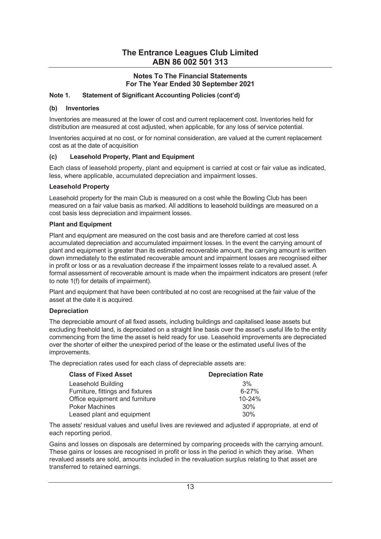## Notes To The Financial Statements For The Year Ended 30 September 2021

## Note 1. Statement of Significant Accounting Policies (cont'd)

#### (b) Inventories

Inventories are measured at the lower of cost and current replacement cost. Inventories held for distribution are measured at cost adjusted, when applicable, for any loss of service potential.

Inventories acquired at no cost, or for nominal consideration, are valued at the current replacement cost as at the date of acquisition

## (c) Leasehold Property, Plant and Equipment

Each class of leasehold property, plant and equipment is carried at cost or fair value as indicated, less, where applicable, accumulated depreciation and impairment losses.

## Leasehold Property

Leasehold property for the main Club is measured on a cost while the Bowling Club has been measured on a fair value basis as marked. All additions to leasehold buildings are measured on a cost basis less depreciation and impairment losses.

#### Plant and Equipment

Plant and equipment are measured on the cost basis and are therefore carried at cost less accumulated depreciation and accumulated impairment losses. In the event the carrying amount of plant and equipment is greater than its estimated recoverable amount, the carrying amount is written down immediately to the estimated recoverable amount and impairment losses are recognised either in profit or loss or as a revaluation decrease if the impairment losses relate to a revalued asset. A formal assessment of recoverable amount is made when the impairment indicators are present (refer to note 1(f) for details of impairment).

Plant and equipment that have been contributed at no cost are recognised at the fair value of the asset at the date it is acquired.

## Depreciation

The depreciable amount of all fixed assets, including buildings and capitalised lease assets but excluding freehold land, is depreciated on a straight line basis over the asset's useful life to the entity commencing from the time the asset is held ready for use. Leasehold improvements are depreciated over the shorter of either the unexpired period of the lease or the estimated useful lives of the improvements.

The depreciation rates used for each class of depreciable assets are:

| <b>Class of Fixed Asset</b>      | <b>Depreciation Rate</b> |
|----------------------------------|--------------------------|
| Leasehold Building               | 3%                       |
| Furniture, fittings and fixtures | $6 - 27%$                |
| Office equipment and furniture   | 10-24%                   |
| <b>Poker Machines</b>            | 30%                      |
| Leased plant and equipment       | 30%                      |

The assets' residual values and useful lives are reviewed and adjusted if appropriate, at end of each reporting period.

Gains and losses on disposals are determined by comparing proceeds with the carrying amount. These gains or losses are recognised in profit or loss in the period in which they arise. When revalued assets are sold, amounts included in the revaluation surplus relating to that asset are transferred to retained earnings.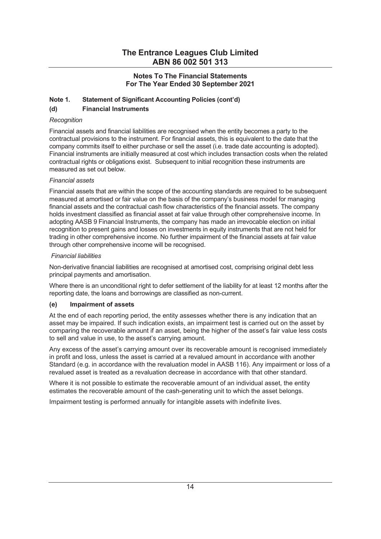## Notes To The Financial Statements For The Year Ended 30 September 2021

## Note 1. Statement of Significant Accounting Policies (cont'd)

## (d) Financial Instruments

## **Recognition**

Financial assets and financial liabilities are recognised when the entity becomes a party to the contractual provisions to the instrument. For financial assets, this is equivalent to the date that the company commits itself to either purchase or sell the asset (i.e. trade date accounting is adopted). Financial instruments are initially measured at cost which includes transaction costs when the related contractual rights or obligations exist. Subsequent to initial recognition these instruments are measured as set out below.

## Financial assets

Financial assets that are within the scope of the accounting standards are required to be subsequent measured at amortised or fair value on the basis of the company's business model for managing financial assets and the contractual cash flow characteristics of the financial assets. The company holds investment classified as financial asset at fair value through other comprehensive income. In adopting AASB 9 Financial Instruments, the company has made an irrevocable election on initial recognition to present gains and losses on investments in equity instruments that are not held for trading in other comprehensive income. No further impairment of the financial assets at fair value through other comprehensive income will be recognised.

## Financial liabilities

Non-derivative financial liabilities are recognised at amortised cost, comprising original debt less principal payments and amortisation.

Where there is an unconditional right to defer settlement of the liability for at least 12 months after the reporting date, the loans and borrowings are classified as non-current.

## (e) Impairment of assets

At the end of each reporting period, the entity assesses whether there is any indication that an asset may be impaired. If such indication exists, an impairment test is carried out on the asset by comparing the recoverable amount if an asset, being the higher of the assetís fair value less costs to sell and value in use, to the asset's carrying amount.

Any excess of the asset's carrying amount over its recoverable amount is recognised immediately in profit and loss, unless the asset is carried at a revalued amount in accordance with another Standard (e.g. in accordance with the revaluation model in AASB 116). Any impairment or loss of a revalued asset is treated as a revaluation decrease in accordance with that other standard.

Where it is not possible to estimate the recoverable amount of an individual asset, the entity estimates the recoverable amount of the cash-generating unit to which the asset belongs.

Impairment testing is performed annually for intangible assets with indefinite lives.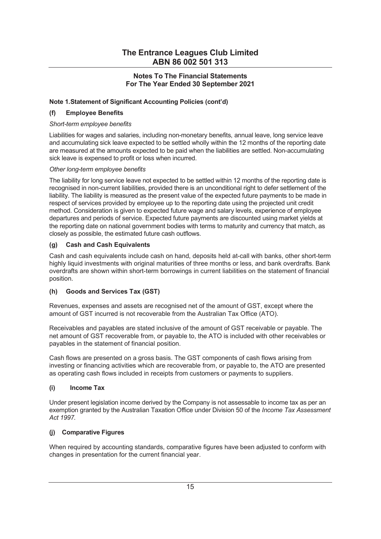## Notes To The Financial Statements For The Year Ended 30 September 2021

## Note 1. Statement of Significant Accounting Policies (cont'd)

## (f) Employee Benefits

## Short-term employee benefits

Liabilities for wages and salaries, including non-monetary benefits, annual leave, long service leave and accumulating sick leave expected to be settled wholly within the 12 months of the reporting date are measured at the amounts expected to be paid when the liabilities are settled. Non-accumulating sick leave is expensed to profit or loss when incurred.

## Other long-term employee benefits

The liability for long service leave not expected to be settled within 12 months of the reporting date is recognised in non-current liabilities, provided there is an unconditional right to defer settlement of the liability. The liability is measured as the present value of the expected future payments to be made in respect of services provided by employee up to the reporting date using the projected unit credit method. Consideration is given to expected future wage and salary levels, experience of employee departures and periods of service. Expected future payments are discounted using market yields at the reporting date on national government bodies with terms to maturity and currency that match, as closely as possible, the estimated future cash outflows.

## (g) Cash and Cash Equivalents

Cash and cash equivalents include cash on hand, deposits held at-call with banks, other short-term highly liquid investments with original maturities of three months or less, and bank overdrafts. Bank overdrafts are shown within short-term borrowings in current liabilities on the statement of financial position.

## (h) Goods and Services Tax (GST)

Revenues, expenses and assets are recognised net of the amount of GST, except where the amount of GST incurred is not recoverable from the Australian Tax Office (ATO).

Receivables and payables are stated inclusive of the amount of GST receivable or payable. The net amount of GST recoverable from, or payable to, the ATO is included with other receivables or payables in the statement of financial position.

Cash flows are presented on a gross basis. The GST components of cash flows arising from investing or financing activities which are recoverable from, or payable to, the ATO are presented as operating cash flows included in receipts from customers or payments to suppliers.

## (i) Income Tax

Under present legislation income derived by the Company is not assessable to income tax as per an exemption granted by the Australian Taxation Office under Division 50 of the *Income Tax Assessment* Act 1997.

## **Comparative Figures**

When required by accounting standards, comparative figures have been adjusted to conform with changes in presentation for the current financial year.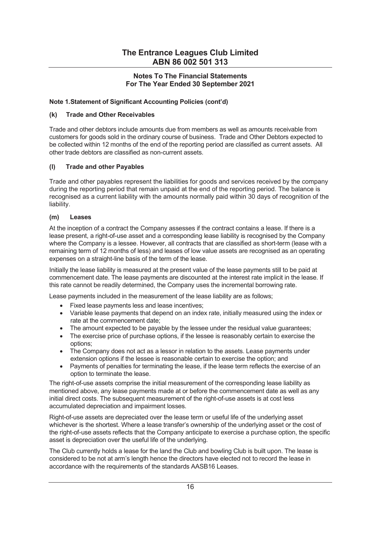## Notes To The Financial Statements For The Year Ended 30 September 2021

## Note 1. Statement of Significant Accounting Policies (cont'd)

## (k) Trade and Other Receivables

Trade and other debtors include amounts due from members as well as amounts receivable from customers for goods sold in the ordinary course of business. Trade and Other Debtors expected to be collected within 12 months of the end of the reporting period are classified as current assets. All other trade debtors are classified as non-current assets.

## (l) Trade and other Payables

Trade and other payables represent the liabilities for goods and services received by the company during the reporting period that remain unpaid at the end of the reporting period. The balance is recognised as a current liability with the amounts normally paid within 30 days of recognition of the liability.

## (m) Leases

At the inception of a contract the Company assesses if the contract contains a lease. If there is a lease present, a right-of-use asset and a corresponding lease liability is recognised by the Company where the Company is a lessee. However, all contracts that are classified as short-term (lease with a remaining term of 12 months of less) and leases of low value assets are recognised as an operating expenses on a straight-line basis of the term of the lease.

Initially the lease liability is measured at the present value of the lease payments still to be paid at commencement date. The lease payments are discounted at the interest rate implicit in the lease. If this rate cannot be readily determined, the Company uses the incremental borrowing rate.

Lease payments included in the measurement of the lease liability are as follows;

- · Fixed lease payments less and lease incentives;
- · Variable lease payments that depend on an index rate, initially measured using the index or rate at the commencement date;
- The amount expected to be payable by the lessee under the residual value guarantees;
- The exercise price of purchase options, if the lessee is reasonably certain to exercise the options;
- · The Company does not act as a lessor in relation to the assets. Lease payments under extension options if the lessee is reasonable certain to exercise the option; and
- · Payments of penalties for terminating the lease, if the lease term reflects the exercise of an option to terminate the lease.

The right-of-use assets comprise the initial measurement of the corresponding lease liability as mentioned above, any lease payments made at or before the commencement date as well as any initial direct costs. The subsequent measurement of the right-of-use assets is at cost less accumulated depreciation and impairment losses.

Right-of-use assets are depreciated over the lease term or useful life of the underlying asset whichever is the shortest. Where a lease transfer's ownership of the underlying asset or the cost of the right-of-use assets reflects that the Company anticipate to exercise a purchase option, the specific asset is depreciation over the useful life of the underlying.

The Club currently holds a lease for the land the Club and bowling Club is built upon. The lease is considered to be not at armís length hence the directors have elected not to record the lease in accordance with the requirements of the standards AASB16 Leases.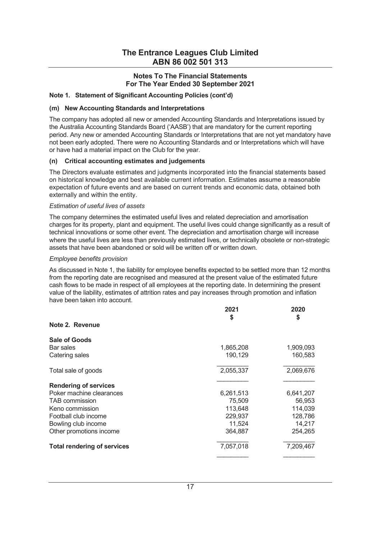## Notes To The Financial Statements For The Year Ended 30 September 2021

#### Note 1. Statement of Significant Accounting Policies (cont'd)

#### (m) New Accounting Standards and Interpretations

The company has adopted all new or amended Accounting Standards and Interpretations issued by the Australia Accounting Standards Board ('AASB') that are mandatory for the current reporting period. Any new or amended Accounting Standards or Interpretations that are not yet mandatory have not been early adopted. There were no Accounting Standards and or Interpretations which will have or have had a material impact on the Club for the year.

## (n) Critical accounting estimates and judgements

The Directors evaluate estimates and judgments incorporated into the financial statements based on historical knowledge and best available current information. Estimates assume a reasonable expectation of future events and are based on current trends and economic data, obtained both externally and within the entity.

#### Estimation of useful lives of assets

The company determines the estimated useful lives and related depreciation and amortisation charges for its property, plant and equipment. The useful lives could change significantly as a result of technical innovations or some other event. The depreciation and amortisation charge will increase where the useful lives are less than previously estimated lives, or technically obsolete or non-strategic assets that have been abandoned or sold will be written off or written down.

#### Employee benefits provision

As discussed in Note 1, the liability for employee benefits expected to be settled more than 12 months from the reporting date are recognised and measured at the present value of the estimated future cash flows to be made in respect of all employees at the reporting date. In determining the present value of the liability, estimates of attrition rates and pay increases through promotion and inflation have been taken into account.

|                                    | 2021<br>\$ | 2020<br>\$ |
|------------------------------------|------------|------------|
| Note 2. Revenue                    |            |            |
| Sale of Goods                      |            |            |
| Bar sales                          | 1,865,208  | 1,909,093  |
| Catering sales                     | 190,129    | 160,583    |
| Total sale of goods                | 2,055,337  | 2,069,676  |
| <b>Rendering of services</b>       |            |            |
| Poker machine clearances           | 6,261,513  | 6,641,207  |
| <b>TAB</b> commission              | 75,509     | 56,953     |
| Keno commission                    | 113,648    | 114,039    |
| Football club income               | 229,937    | 128,786    |
| Bowling club income                | 11,524     | 14,217     |
| Other promotions income            | 364,887    | 254,265    |
| <b>Total rendering of services</b> | 7,057,018  | 7,209,467  |
|                                    |            |            |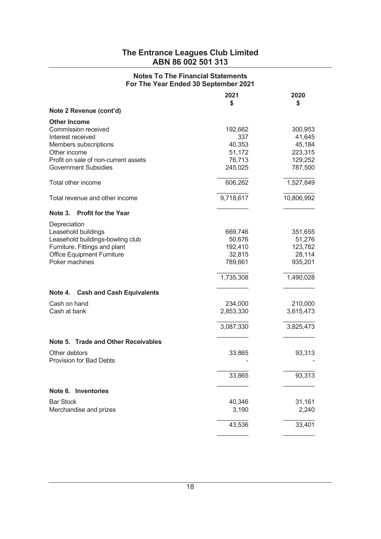## Notes To The Financial Statements For The Year Ended 30 September 2021

|                                                 | 2021<br>\$ | 2020<br>\$ |
|-------------------------------------------------|------------|------------|
| Note 2 Revenue (cont'd)                         |            |            |
| <b>Other Income</b>                             |            |            |
| Commission received                             | 192,662    | 300,953    |
| Interest received                               | 337        | 41,645     |
| Members subscriptions                           | 40,353     | 45,184     |
| Other income                                    | 51,172     | 223,315    |
| Profit on sale of non-current assets            | 76,713     | 129,252    |
| <b>Government Subsidies</b>                     | 245,025    | 787,500    |
| Total other income                              | 606,262    | 1,527,849  |
| Total revenue and other income                  | 9,718,617  | 10,806,992 |
| <b>Profit for the Year</b><br>Note 3.           |            |            |
| Depreciation                                    |            |            |
| Leasehold buildings                             | 669,746    | 351,655    |
| Leasehold buildings-bowling club                | 50,676     | 51,276     |
| Furniture, Fittings and plant                   | 192,410    | 123,782    |
| <b>Office Equipment Furniture</b>               | 32,815     | 28,114     |
| Poker machines                                  | 789,661    | 935,201    |
|                                                 | 1,735,308  | 1,490,028  |
| Note 4.<br><b>Cash and Cash Equivalents</b>     |            |            |
| Cash on hand                                    | 234,000    | 210,000    |
| Cash at bank                                    | 2,853,330  | 3,615,473  |
|                                                 | 3,087,330  | 3,825,473  |
|                                                 |            |            |
| Note 5. Trade and Other Receivables             |            |            |
| Other debtors<br><b>Provision for Bad Debts</b> | 33,865     | 93,313     |
|                                                 | 33,865     | 93,313     |
| Note 6. Inventories                             |            |            |
| <b>Bar Stock</b>                                | 40,346     | 31,161     |
| Merchandise and prizes                          | 3,190      | 2,240      |
|                                                 |            |            |
|                                                 | 43,536     | 33,401     |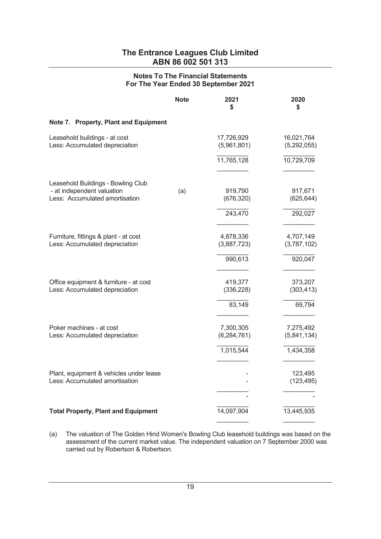## Notes To The Financial Statements For The Year Ended 30 September 2021

|                                                                                                    | <b>Note</b> | 2021<br>\$                 | 2020<br>S                 |
|----------------------------------------------------------------------------------------------------|-------------|----------------------------|---------------------------|
| Note 7. Property, Plant and Equipment                                                              |             |                            |                           |
| Leasehold buildings - at cost<br>Less: Accumulated depreciation                                    |             | 17,726,929<br>(5,961,801)  | 16,021,764<br>(5,292,055) |
|                                                                                                    |             | 11,765,128                 | 10,729,709                |
|                                                                                                    |             |                            |                           |
| Leasehold Buildings - Bowling Club<br>- at independent valuation<br>Less: Accumulated amortisation | (a)         | 919,790<br>(676, 320)      | 917,671<br>(625, 644)     |
|                                                                                                    |             | 243,470                    | 292,027                   |
|                                                                                                    |             |                            |                           |
| Furniture, fittings & plant - at cost<br>Less: Accumulated depreciation                            |             | 4,878,336<br>(3,887,723)   | 4,707,149<br>(3,787,102)  |
|                                                                                                    |             | 990,613                    | 920,047                   |
|                                                                                                    |             |                            |                           |
| Office equipment & furniture - at cost<br>Less: Accumulated depreciation                           |             | 419,377<br>(336, 228)      | 373,207<br>(303, 413)     |
|                                                                                                    |             | 83,149                     | 69,794                    |
| Poker machines - at cost<br>Less: Accumulated depreciation                                         |             | 7,300,305<br>(6, 284, 761) | 7,275,492<br>(5,841,134)  |
|                                                                                                    |             | 1,015,544                  | 1,434,358                 |
|                                                                                                    |             |                            |                           |
| Plant, equipment & vehicles under lease<br>Less: Accumulated amortisation                          |             |                            | 123,495<br>(123, 495)     |
|                                                                                                    |             |                            |                           |
| <b>Total Property, Plant and Equipment</b>                                                         |             | 14,097,904                 | 13,445,935                |

(a) The valuation of The Golden Hind Women's Bowling Club leasehold buildings was based on the assessment of the current market value. The independent valuation on 7 September 2000 was carried out by Robertson & Robertson.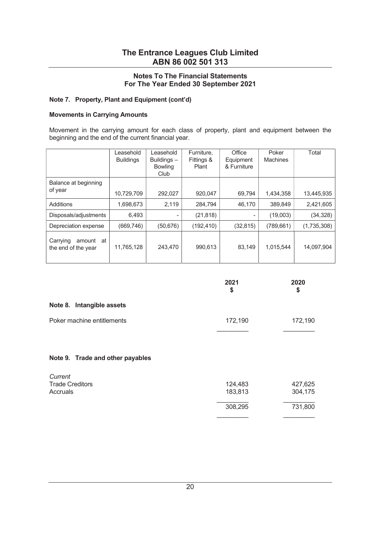## Notes To The Financial Statements For The Year Ended 30 September 2021

## Note 7. Property, Plant and Equipment (cont'd)

#### Movements in Carrying Amounts

Movement in the carrying amount for each class of property, plant and equipment between the beginning and the end of the current financial year.

|                                              | Leasehold<br><b>Buildings</b> | Leasehold<br>Buildings-<br><b>Bowling</b><br>Club | Furniture.<br>Fittings &<br>Plant | Office<br>Equipment<br>& Furniture | Poker<br><b>Machines</b> | Total       |
|----------------------------------------------|-------------------------------|---------------------------------------------------|-----------------------------------|------------------------------------|--------------------------|-------------|
| Balance at beginning<br>of year              | 10,729,709                    | 292,027                                           | 920,047                           | 69,794                             | 1,434,358                | 13,445,935  |
| Additions                                    | 1,698,673                     | 2.119                                             | 284.794                           | 46,170                             | 389.849                  | 2,421,605   |
| Disposals/adjustments                        | 6,493                         | ۰                                                 | (21, 818)                         |                                    | (19,003)                 | (34, 328)   |
| Depreciation expense                         | (669, 746)                    | (50, 676)                                         | (192, 410)                        | (32, 815)                          | (789, 661)               | (1,735,308) |
| Carrying<br>amount at<br>the end of the year | 11,765,128                    | 243,470                                           | 990,613                           | 83,149                             | 1,015,544                | 14,097,904  |

|                                               | 2021<br>\$         | 2020<br>\$         |
|-----------------------------------------------|--------------------|--------------------|
| Note 8. Intangible assets                     |                    |                    |
| Poker machine entitlements                    | 172,190            | 172,190            |
| Note 9. Trade and other payables              |                    |                    |
| Current<br><b>Trade Creditors</b><br>Accruals | 124,483<br>183,813 | 427,625<br>304,175 |

 308,295 731,800  $\frac{1}{2}$  , and the contract of the contract of the contract of the contract of the contract of the contract of the contract of the contract of the contract of the contract of the contract of the contract of the contract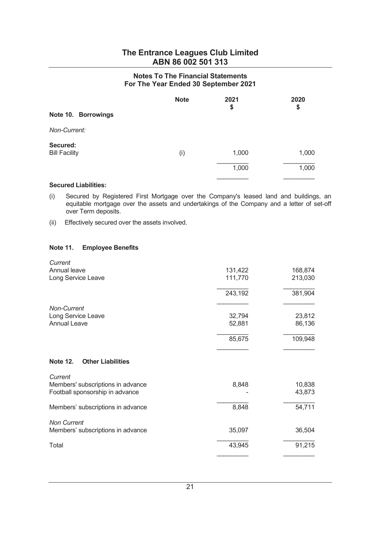## Notes To The Financial Statements For The Year Ended 30 September 2021

| Note 10. Borrowings              | <b>Note</b> | 2021<br>\$ | 2020<br>\$ |
|----------------------------------|-------------|------------|------------|
| Non-Current:                     |             |            |            |
| Secured:<br><b>Bill Facility</b> | (i)         | 1,000      | 1,000      |
|                                  |             | 1,000      | 1,000      |
|                                  |             |            |            |

## Secured Liabilities:

- (i) Secured by Registered First Mortgage over the Company's leased land and buildings, an equitable mortgage over the assets and undertakings of the Company and a letter of set-off over Term deposits.
- (ii) Effectively secured over the assets involved.

## Note 11. Employee Benefits

| Current                                     |         |         |
|---------------------------------------------|---------|---------|
| Annual leave                                | 131,422 | 168,874 |
| Long Service Leave                          | 111,770 | 213,030 |
|                                             | 243,192 | 381,904 |
| Non-Current                                 |         |         |
| Long Service Leave                          | 32,794  | 23,812  |
| <b>Annual Leave</b>                         | 52,881  | 86,136  |
|                                             | 85,675  | 109,948 |
| <b>Other Liabilities</b><br><b>Note 12.</b> |         |         |
| Current                                     |         |         |
| Members' subscriptions in advance           | 8,848   | 10,838  |
| Football sponsorship in advance             |         | 43,873  |
| Members' subscriptions in advance           | 8,848   | 54,711  |
| <b>Non Current</b>                          |         |         |
| Members' subscriptions in advance           | 35,097  | 36,504  |
| Total                                       | 43,945  | 91,215  |
|                                             |         |         |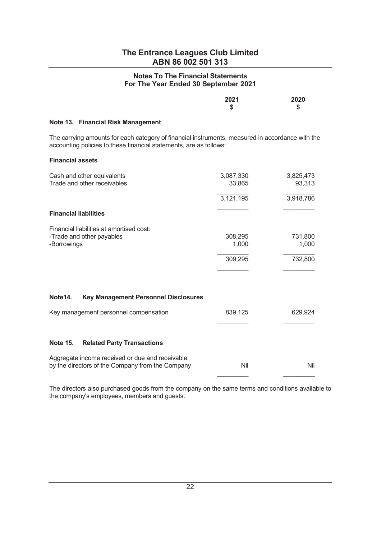## Notes To The Financial Statements For The Year Ended 30 September 2021

| 2021 | 2020   |
|------|--------|
| จ    | ё<br>ъ |

#### Note 13. Financial Risk Management

The carrying amounts for each category of financial instruments, measured in accordance with the accounting policies to these financial statements, are as follows:

#### Financial assets

| Cash and other equivalents<br>Trade and other receivables                                           | 3,087,330<br>33,865 | 3,825,473<br>93,313 |
|-----------------------------------------------------------------------------------------------------|---------------------|---------------------|
|                                                                                                     | 3,121,195           | 3,918,786           |
| <b>Financial liabilities</b>                                                                        |                     |                     |
| Financial liabilities at amortised cost:                                                            |                     |                     |
| -Trade and other payables                                                                           | 308,295             | 731,800             |
| -Borrowings                                                                                         | 1,000               | 1,000               |
|                                                                                                     | 309,295             | 732,800             |
|                                                                                                     |                     |                     |
|                                                                                                     |                     |                     |
| Note14.<br><b>Key Management Personnel Disclosures</b>                                              |                     |                     |
| Key management personnel compensation                                                               | 839,125             | 629,924             |
|                                                                                                     |                     |                     |
| <b>Note 15.</b><br><b>Related Party Transactions</b>                                                |                     |                     |
| Aggregate income received or due and receivable<br>by the directors of the Company from the Company | Nil                 | Nil                 |

 The directors also purchased goods from the company on the same terms and conditions available to the company's employees, members and guests.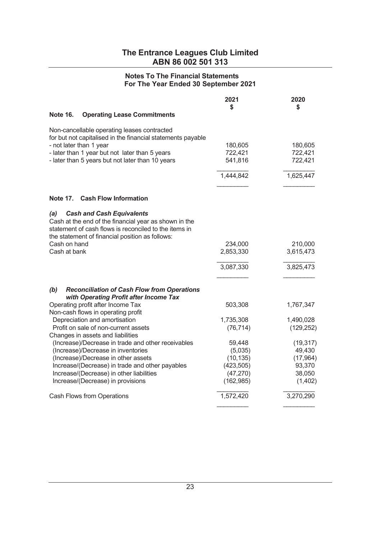## Notes To The Financial Statements For The Year Ended 30 September 2021

| Note 16.<br><b>Operating Lease Commitments</b>                                                                                                                                                                                              | 2021<br>S                     | 2020<br>\$                    |
|---------------------------------------------------------------------------------------------------------------------------------------------------------------------------------------------------------------------------------------------|-------------------------------|-------------------------------|
|                                                                                                                                                                                                                                             |                               |                               |
| Non-cancellable operating leases contracted<br>for but not capitalised in the financial statements payable<br>- not later than 1 year<br>- later than 1 year but not later than 5 years<br>- later than 5 years but not later than 10 years | 180,605<br>722,421<br>541,816 | 180,605<br>722,421<br>722,421 |
|                                                                                                                                                                                                                                             | 1,444,842                     | 1,625,447                     |
|                                                                                                                                                                                                                                             |                               |                               |
| Note 17. Cash Flow Information                                                                                                                                                                                                              |                               |                               |
| (a)<br><b>Cash and Cash Equivalents</b><br>Cash at the end of the financial year as shown in the<br>statement of cash flows is reconciled to the items in<br>the statement of financial position as follows:                                |                               |                               |
| Cash on hand                                                                                                                                                                                                                                | 234,000                       | 210,000                       |
| Cash at bank                                                                                                                                                                                                                                | 2,853,330                     | 3,615,473                     |
|                                                                                                                                                                                                                                             | 3,087,330                     | 3,825,473                     |
|                                                                                                                                                                                                                                             |                               |                               |
| (b)<br><b>Reconciliation of Cash Flow from Operations</b><br>with Operating Profit after Income Tax                                                                                                                                         |                               |                               |
| Operating profit after Income Tax<br>Non-cash flows in operating profit                                                                                                                                                                     | 503,308                       | 1,767,347                     |
| Depreciation and amortisation                                                                                                                                                                                                               | 1,735,308                     | 1,490,028                     |
| Profit on sale of non-current assets                                                                                                                                                                                                        | (76, 714)                     | (129, 252)                    |
| Changes in assets and liabilities<br>(Increase)/Decrease in trade and other receivables                                                                                                                                                     | 59,448                        | (19, 317)                     |
| (Increase)/Decrease in inventories                                                                                                                                                                                                          | (5,035)                       | 49,430                        |
| (Increase)/Decrease in other assets                                                                                                                                                                                                         | (10, 135)                     | (17, 964)                     |
| Increase/(Decrease) in trade and other payables                                                                                                                                                                                             | (423, 505)                    | 93,370                        |
| Increase/(Decrease) in other liabilities                                                                                                                                                                                                    | (47, 270)                     | 38,050                        |
| Increase/(Decrease) in provisions                                                                                                                                                                                                           | (162, 985)                    | (1, 402)                      |
| Cash Flows from Operations                                                                                                                                                                                                                  | 1,572,420                     | 3,270,290                     |
|                                                                                                                                                                                                                                             |                               |                               |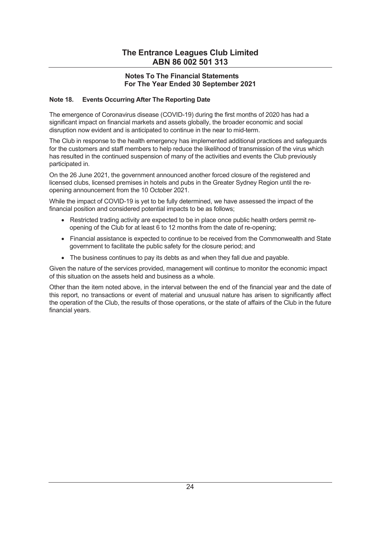## Notes To The Financial Statements For The Year Ended 30 September 2021

## Note 18. Events Occurring After The Reporting Date

The emergence of Coronavirus disease (COVID-19) during the first months of 2020 has had a significant impact on financial markets and assets globally, the broader economic and social disruption now evident and is anticipated to continue in the near to mid-term.

The Club in response to the health emergency has implemented additional practices and safeguards for the customers and staff members to help reduce the likelihood of transmission of the virus which has resulted in the continued suspension of many of the activities and events the Club previously participated in.

On the 26 June 2021, the government announced another forced closure of the registered and licensed clubs, licensed premises in hotels and pubs in the Greater Sydney Region until the reopening announcement from the 10 October 2021.

While the impact of COVID-19 is yet to be fully determined, we have assessed the impact of the financial position and considered potential impacts to be as follows;

- · Restricted trading activity are expected to be in place once public health orders permit reopening of the Club for at least 6 to 12 months from the date of re-opening;
- · Financial assistance is expected to continue to be received from the Commonwealth and State government to facilitate the public safety for the closure period; and
- The business continues to pay its debts as and when they fall due and payable.

Given the nature of the services provided, management will continue to monitor the economic impact of this situation on the assets held and business as a whole.

Other than the item noted above, in the interval between the end of the financial year and the date of this report, no transactions or event of material and unusual nature has arisen to significantly affect the operation of the Club, the results of those operations, or the state of affairs of the Club in the future financial years.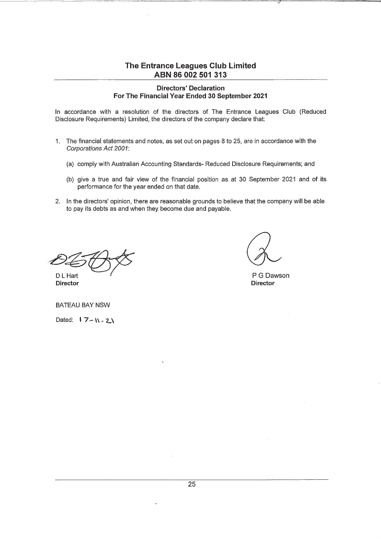#### **Directors' Declaration** For The Financial Year Ended 30 September 2021

In accordance with a resolution of the directors of The Entrance Leagues Club (Reduced Disclosure Requirements) Limited, the directors of the company declare that:

- 1. The financial statements and notes, as set out on pages 8 to 25, are in accordance with the Corporations Act 2001:
	- (a) comply with Australian Accounting Standards- Reduced Disclosure Requirements; and
	- (b) give a true and fair view of the financial position as at 30 September 2021 and of its performance for the year ended on that date.
- 2. In the directors' opinion, there are reasonable grounds to believe that the company will be able to pay its debts as and when they become due and payable.

D L Hart

P G Dawson **Director** 

**BATEAU BAY NSW** 

Director

Dated:  $17 - N - 2N$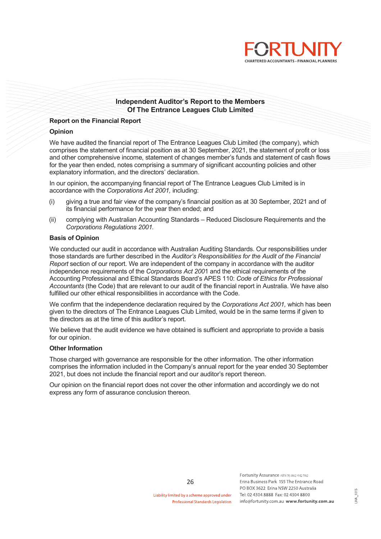

### Independent Auditor's Report to the Members Of The Entrance Leagues Club Limited

#### Report on the Financial Report

#### Opinion

We have audited the financial report of The Entrance Leagues Club Limited (the company), which comprises the statement of financial position as at 30 September, 2021, the statement of profit or loss and other comprehensive income, statement of changes member's funds and statement of cash flows for the year then ended, notes comprising a summary of significant accounting policies and other explanatory information, and the directors' declaration.

In our opinion, the accompanying financial report of The Entrance Leagues Club Limited is in accordance with the Corporations Act 2001, including:

- (i) giving a true and fair view of the companyís financial position as at 30 September, 2021 and of its financial performance for the year then ended; and
- (ii) complying with Australian Accounting Standards Reduced Disclosure Requirements and the Corporations Regulations 2001.

#### Basis of Opinion

We conducted our audit in accordance with Australian Auditing Standards. Our responsibilities under those standards are further described in the Auditor's Responsibilities for the Audit of the Financial Report section of our report. We are independent of the company in accordance with the auditor independence requirements of the Corporations Act 2001 and the ethical requirements of the Accounting Professional and Ethical Standards Board's APES 110: Code of Ethics for Professional Accountants (the Code) that are relevant to our audit of the financial report in Australia. We have also fulfilled our other ethical responsibilities in accordance with the Code.

We confirm that the independence declaration required by the Corporations Act 2001, which has been given to the directors of The Entrance Leagues Club Limited, would be in the same terms if given to the directors as at the time of this auditor's report.

We believe that the audit evidence we have obtained is sufficient and appropriate to provide a basis for our opinion.

#### Other Information

Those charged with governance are responsible for the other information. The other information comprises the information included in the Companyís annual report for the year ended 30 September 2021, but does not include the financial report and our auditor's report thereon.

Our opinion on the financial report does not cover the other information and accordingly we do not express any form of assurance conclusion thereon.

Liability limited by a scheme approved under **Professional Standards Legislation**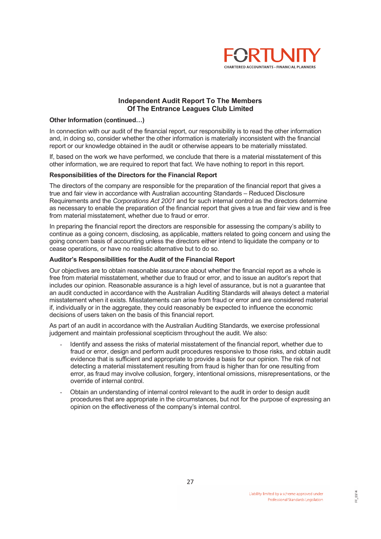

## Independent Audit Report To The Members Of The Entrance Leagues Club Limited

#### Other Information (continued...)

In connection with our audit of the financial report, our responsibility is to read the other information and, in doing so, consider whether the other information is materially inconsistent with the financial report or our knowledge obtained in the audit or otherwise appears to be materially misstated.

If, based on the work we have performed, we conclude that there is a material misstatement of this other information, we are required to report that fact. We have nothing to report in this report.

#### Responsibilities of the Directors for the Financial Report

The directors of the company are responsible for the preparation of the financial report that gives a true and fair view in accordance with Australian accounting Standards – Reduced Disclosure Requirements and the Corporations Act 2001 and for such internal control as the directors determine as necessary to enable the preparation of the financial report that gives a true and fair view and is free from material misstatement, whether due to fraud or error.

In preparing the financial report the directors are responsible for assessing the company's ability to continue as a going concern, disclosing, as applicable, matters related to going concern and using the going concern basis of accounting unless the directors either intend to liquidate the company or to cease operations, or have no realistic alternative but to do so.

#### Auditor's Responsibilities for the Audit of the Financial Report

Our objectives are to obtain reasonable assurance about whether the financial report as a whole is free from material misstatement, whether due to fraud or error, and to issue an auditor's report that includes our opinion. Reasonable assurance is a high level of assurance, but is not a guarantee that an audit conducted in accordance with the Australian Auditing Standards will always detect a material misstatement when it exists. Misstatements can arise from fraud or error and are considered material if, individually or in the aggregate, they could reasonably be expected to influence the economic decisions of users taken on the basis of this financial report.

As part of an audit in accordance with the Australian Auditing Standards, we exercise professional judgement and maintain professional scepticism throughout the audit. We also:

- Identify and assess the risks of material misstatement of the financial report, whether due to fraud or error, design and perform audit procedures responsive to those risks, and obtain audit evidence that is sufficient and appropriate to provide a basis for our opinion. The risk of not detecting a material misstatement resulting from fraud is higher than for one resulting from error, as fraud may involve collusion, forgery, intentional omissions, misrepresentations, or the override of internal control.
- Obtain an understanding of internal control relevant to the audit in order to design audit procedures that are appropriate in the circumstances, but not for the purpose of expressing an opinion on the effectiveness of the companyís internal control.